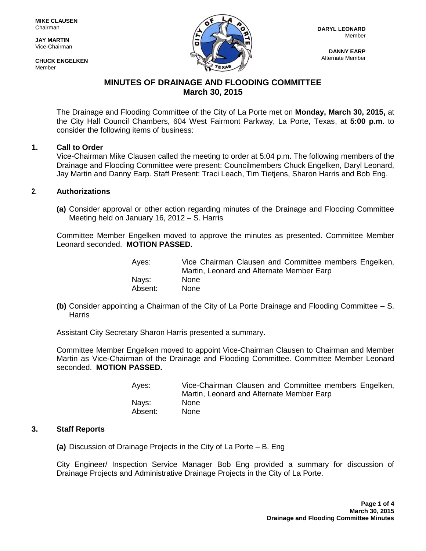**JAY MARTIN** Vice-Chairman

**CHUCK ENGELKEN Mamhar** 



**DANNY EARP** Alternate Member

# **MINUTES OF DRAINAGE AND FLOODING COMMITTEE March 30, 2015**

The Drainage and Flooding Committee of the City of La Porte met on **Monday, March 30, 2015,** at the City Hall Council Chambers, 604 West Fairmont Parkway, La Porte, Texas, at **5:00 p.m**. to consider the following items of business:

# **1. Call to Order**

Vice-Chairman Mike Clausen called the meeting to order at 5:04 p.m. The following members of the Drainage and Flooding Committee were present: Councilmembers Chuck Engelken, Daryl Leonard, Jay Martin and Danny Earp. Staff Present: Traci Leach, Tim Tietjens, Sharon Harris and Bob Eng.

# **2. Authorizations**

**(a)** Consider approval or other action regarding minutes of the Drainage and Flooding Committee Meeting held on January 16, 2012 – S. Harris

Committee Member Engelken moved to approve the minutes as presented. Committee Member Leonard seconded. **MOTION PASSED.**

| Ayes:   | Vice Chairman Clausen and Committee members Engelken,<br>Martin, Leonard and Alternate Member Earp |
|---------|----------------------------------------------------------------------------------------------------|
| Nays:   | <b>None</b>                                                                                        |
| Absent: | <b>None</b>                                                                                        |

**(b)** Consider appointing a Chairman of the City of La Porte Drainage and Flooding Committee – S. **Harris** 

Assistant City Secretary Sharon Harris presented a summary.

Committee Member Engelken moved to appoint Vice-Chairman Clausen to Chairman and Member Martin as Vice-Chairman of the Drainage and Flooding Committee. Committee Member Leonard seconded. **MOTION PASSED.**

| Ayes:   | Vice-Chairman Clausen and Committee members Engelken, |
|---------|-------------------------------------------------------|
|         | Martin, Leonard and Alternate Member Earp             |
| Nays:   | <b>None</b>                                           |
| Absent: | <b>None</b>                                           |

#### **3. Staff Reports**

**(a)** Discussion of Drainage Projects in the City of La Porte – B. Eng

City Engineer/ Inspection Service Manager Bob Eng provided a summary for discussion of Drainage Projects and Administrative Drainage Projects in the City of La Porte.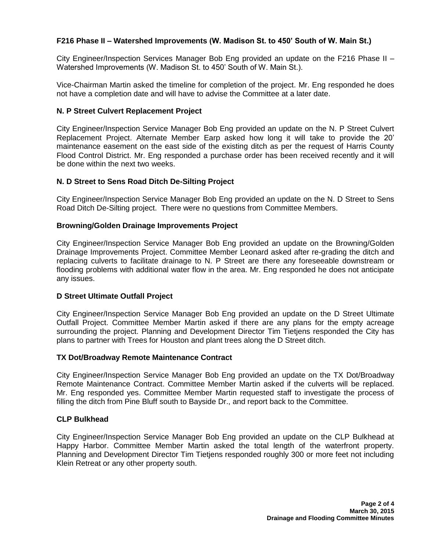# **F216 Phase II – Watershed Improvements (W. Madison St. to 450' South of W. Main St.)**

City Engineer/Inspection Services Manager Bob Eng provided an update on the F216 Phase II – Watershed Improvements (W. Madison St. to 450' South of W. Main St.).

Vice-Chairman Martin asked the timeline for completion of the project. Mr. Eng responded he does not have a completion date and will have to advise the Committee at a later date.

# **N. P Street Culvert Replacement Project**

City Engineer/Inspection Service Manager Bob Eng provided an update on the N. P Street Culvert Replacement Project. Alternate Member Earp asked how long it will take to provide the 20' maintenance easement on the east side of the existing ditch as per the request of Harris County Flood Control District. Mr. Eng responded a purchase order has been received recently and it will be done within the next two weeks.

# **N. D Street to Sens Road Ditch De-Silting Project**

City Engineer/Inspection Service Manager Bob Eng provided an update on the N. D Street to Sens Road Ditch De-Silting project. There were no questions from Committee Members.

# **Browning/Golden Drainage Improvements Project**

City Engineer/Inspection Service Manager Bob Eng provided an update on the Browning/Golden Drainage Improvements Project. Committee Member Leonard asked after re-grading the ditch and replacing culverts to facilitate drainage to N. P Street are there any foreseeable downstream or flooding problems with additional water flow in the area. Mr. Eng responded he does not anticipate any issues.

#### **D Street Ultimate Outfall Project**

City Engineer/Inspection Service Manager Bob Eng provided an update on the D Street Ultimate Outfall Project. Committee Member Martin asked if there are any plans for the empty acreage surrounding the project. Planning and Development Director Tim Tietjens responded the City has plans to partner with Trees for Houston and plant trees along the D Street ditch.

#### **TX Dot/Broadway Remote Maintenance Contract**

City Engineer/Inspection Service Manager Bob Eng provided an update on the TX Dot/Broadway Remote Maintenance Contract. Committee Member Martin asked if the culverts will be replaced. Mr. Eng responded yes. Committee Member Martin requested staff to investigate the process of filling the ditch from Pine Bluff south to Bayside Dr., and report back to the Committee.

#### **CLP Bulkhead**

City Engineer/Inspection Service Manager Bob Eng provided an update on the CLP Bulkhead at Happy Harbor. Committee Member Martin asked the total length of the waterfront property. Planning and Development Director Tim Tietjens responded roughly 300 or more feet not including Klein Retreat or any other property south.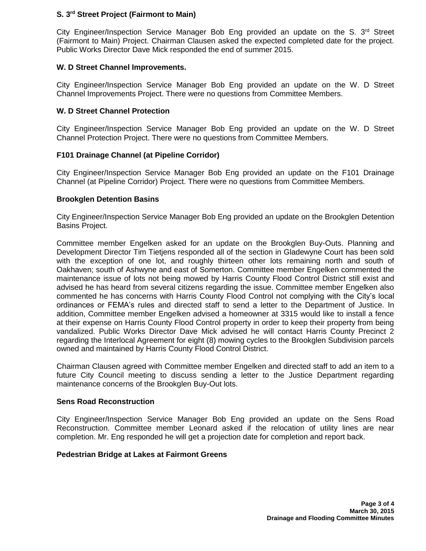# **S. 3rd Street Project (Fairmont to Main)**

City Engineer/Inspection Service Manager Bob Eng provided an update on the S.  $3<sup>rd</sup>$  Street (Fairmont to Main) Project. Chairman Clausen asked the expected completed date for the project. Public Works Director Dave Mick responded the end of summer 2015.

# **W. D Street Channel Improvements.**

City Engineer/Inspection Service Manager Bob Eng provided an update on the W. D Street Channel Improvements Project. There were no questions from Committee Members.

# **W. D Street Channel Protection**

City Engineer/Inspection Service Manager Bob Eng provided an update on the W. D Street Channel Protection Project. There were no questions from Committee Members.

# **F101 Drainage Channel (at Pipeline Corridor)**

City Engineer/Inspection Service Manager Bob Eng provided an update on the F101 Drainage Channel (at Pipeline Corridor) Project. There were no questions from Committee Members.

# **Brookglen Detention Basins**

City Engineer/Inspection Service Manager Bob Eng provided an update on the Brookglen Detention Basins Project.

Committee member Engelken asked for an update on the Brookglen Buy-Outs. Planning and Development Director Tim Tietjens responded all of the section in Gladewyne Court has been sold with the exception of one lot, and roughly thirteen other lots remaining north and south of Oakhaven; south of Ashwyne and east of Somerton. Committee member Engelken commented the maintenance issue of lots not being mowed by Harris County Flood Control District still exist and advised he has heard from several citizens regarding the issue. Committee member Engelken also commented he has concerns with Harris County Flood Control not complying with the City's local ordinances or FEMA's rules and directed staff to send a letter to the Department of Justice. In addition, Committee member Engelken advised a homeowner at 3315 would like to install a fence at their expense on Harris County Flood Control property in order to keep their property from being vandalized. Public Works Director Dave Mick advised he will contact Harris County Precinct 2 regarding the Interlocal Agreement for eight (8) mowing cycles to the Brookglen Subdivision parcels owned and maintained by Harris County Flood Control District.

Chairman Clausen agreed with Committee member Engelken and directed staff to add an item to a future City Council meeting to discuss sending a letter to the Justice Department regarding maintenance concerns of the Brookglen Buy-Out lots.

#### **Sens Road Reconstruction**

City Engineer/Inspection Service Manager Bob Eng provided an update on the Sens Road Reconstruction. Committee member Leonard asked if the relocation of utility lines are near completion. Mr. Eng responded he will get a projection date for completion and report back.

#### **Pedestrian Bridge at Lakes at Fairmont Greens**